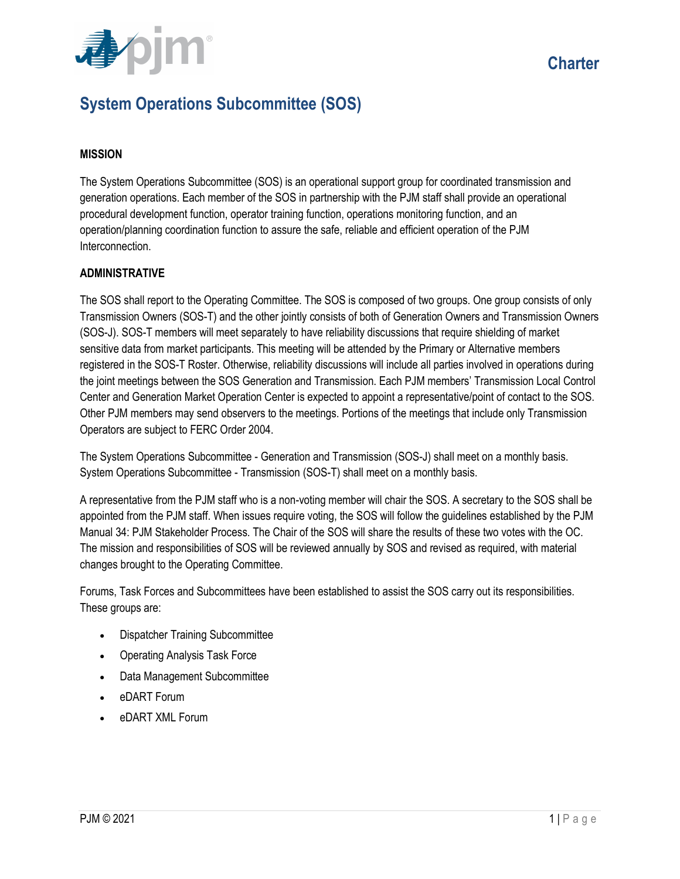

## System Operations Subcommittee (SOS)

## MISSION

The System Operations Subcommittee (SOS) is an operational support group for coordinated transmission and generation operations. Each member of the SOS in partnership with the PJM staff shall provide an operational procedural development function, operator training function, operations monitoring function, and an operation/planning coordination function to assure the safe, reliable and efficient operation of the PJM Interconnection.

## ADMINISTRATIVE

The SOS shall report to the Operating Committee. The SOS is composed of two groups. One group consists of only Transmission Owners (SOS-T) and the other jointly consists of both of Generation Owners and Transmission Owners (SOS-J). SOS-T members will meet separately to have reliability discussions that require shielding of market sensitive data from market participants. This meeting will be attended by the Primary or Alternative members registered in the SOS-T Roster. Otherwise, reliability discussions will include all parties involved in operations during the joint meetings between the SOS Generation and Transmission. Each PJM members' Transmission Local Control Center and Generation Market Operation Center is expected to appoint a representative/point of contact to the SOS. Other PJM members may send observers to the meetings. Portions of the meetings that include only Transmission Operators are subject to FERC Order 2004.

The System Operations Subcommittee - Generation and Transmission (SOS-J) shall meet on a monthly basis. System Operations Subcommittee - Transmission (SOS-T) shall meet on a monthly basis.

A representative from the PJM staff who is a non-voting member will chair the SOS. A secretary to the SOS shall be appointed from the PJM staff. When issues require voting, the SOS will follow the guidelines established by the PJM Manual 34: PJM Stakeholder Process. The Chair of the SOS will share the results of these two votes with the OC. The mission and responsibilities of SOS will be reviewed annually by SOS and revised as required, with material changes brought to the Operating Committee.

Forums, Task Forces and Subcommittees have been established to assist the SOS carry out its responsibilities. These groups are:

- Dispatcher Training Subcommittee
- Operating Analysis Task Force
- Data Management Subcommittee
- eDART Forum
- eDART XML Forum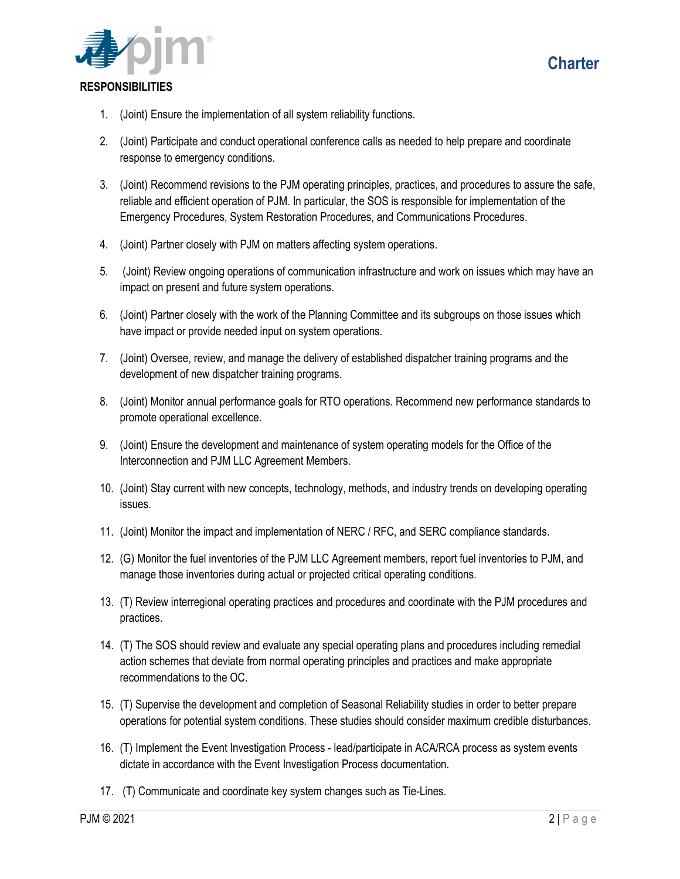



## **RESPONSIBILITIES**

- 1. (Joint) Ensure the implementation of all system reliability functions.
- 2. (Joint) Participate and conduct operational conference calls as needed to help prepare and coordinate response to emergency conditions.
- 3. (Joint) Recommend revisions to the PJM operating principles, practices, and procedures to assure the safe, reliable and efficient operation of PJM. In particular, the SOS is responsible for implementation of the Emergency Procedures, System Restoration Procedures, and Communications Procedures.
- 4. (Joint) Partner closely with PJM on matters affecting system operations.
- 5. (Joint) Review ongoing operations of communication infrastructure and work on issues which may have an impact on present and future system operations.
- 6. (Joint) Partner closely with the work of the Planning Committee and its subgroups on those issues which have impact or provide needed input on system operations.
- 7. (Joint) Oversee, review, and manage the delivery of established dispatcher training programs and the development of new dispatcher training programs.
- 8. (Joint) Monitor annual performance goals for RTO operations. Recommend new performance standards to promote operational excellence.
- 9. (Joint) Ensure the development and maintenance of system operating models for the Office of the Interconnection and PJM LLC Agreement Members.
- 10. (Joint) Stay current with new concepts, technology, methods, and industry trends on developing operating issues.
- 11. (Joint) Monitor the impact and implementation of NERC / RFC, and SERC compliance standards.
- 12. (G) Monitor the fuel inventories of the PJM LLC Agreement members, report fuel inventories to PJM, and manage those inventories during actual or projected critical operating conditions.
- 13. (T) Review interregional operating practices and procedures and coordinate with the PJM procedures and practices.
- 14. (T) The SOS should review and evaluate any special operating plans and procedures including remedial action schemes that deviate from normal operating principles and practices and make appropriate recommendations to the OC.
- 15. (T) Supervise the development and completion of Seasonal Reliability studies in order to better prepare operations for potential system conditions. These studies should consider maximum credible disturbances.
- 16. (T) Implement the Event Investigation Process lead/participate in ACA/RCA process as system events dictate in accordance with the Event Investigation Process documentation.
- 17. (T) Communicate and coordinate key system changes such as Tie-Lines.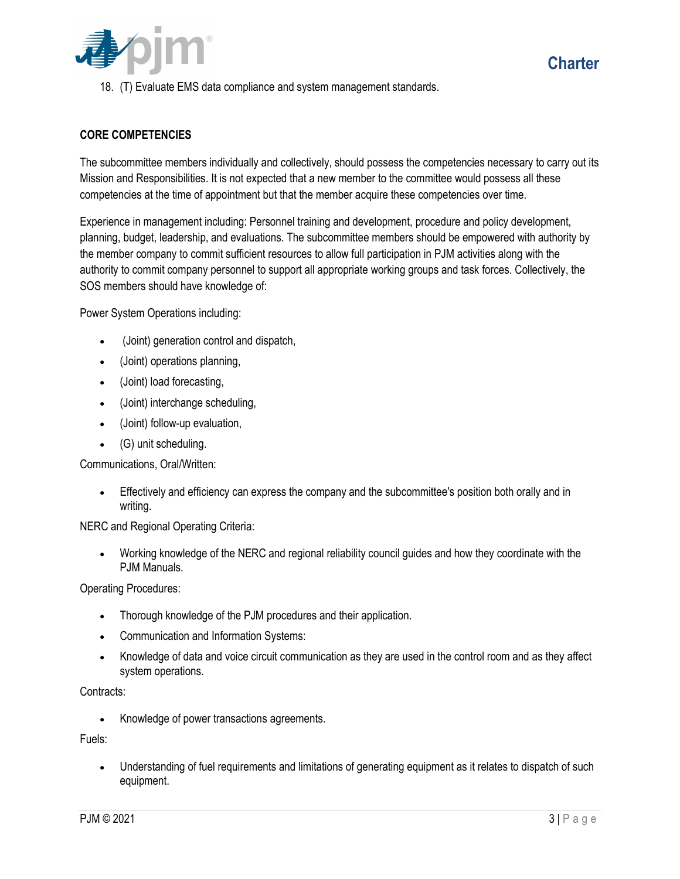

The subcommittee members individually and collectively, should possess the competencies necessary to carry out its Mission and Responsibilities. It is not expected that a new member to the committee would possess all these competencies at the time of appointment but that the member acquire these competencies over time.

Experience in management including: Personnel training and development, procedure and policy development, planning, budget, leadership, and evaluations. The subcommittee members should be empowered with authority by the member company to commit sufficient resources to allow full participation in PJM activities along with the authority to commit company personnel to support all appropriate working groups and task forces. Collectively, the SOS members should have knowledge of:

Power System Operations including:

- (Joint) generation control and dispatch,
- (Joint) operations planning,
- (Joint) load forecasting,
- (Joint) interchange scheduling,
- (Joint) follow-up evaluation,
- (G) unit scheduling.

Communications, Oral/Written:

 Effectively and efficiency can express the company and the subcommittee's position both orally and in writing.

NERC and Regional Operating Criteria:

 Working knowledge of the NERC and regional reliability council guides and how they coordinate with the PJM Manuals.

Operating Procedures:

- Thorough knowledge of the PJM procedures and their application.
- Communication and Information Systems:
- Knowledge of data and voice circuit communication as they are used in the control room and as they affect system operations.

Contracts:

Knowledge of power transactions agreements.

Fuels:

 Understanding of fuel requirements and limitations of generating equipment as it relates to dispatch of such equipment.

**Charter**